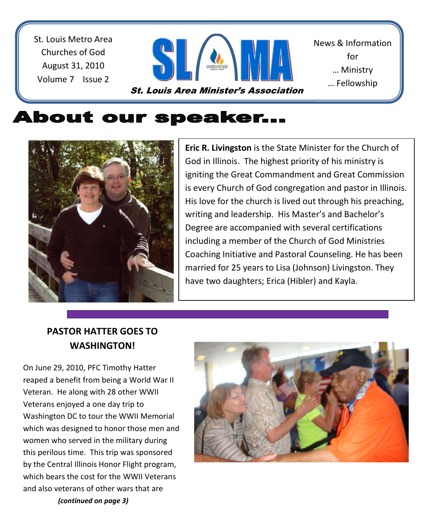St. Louis Metro Area Churches of God August 31, 2010 Volume 7 Issue 2



News & Information for … Ministry … Fellowship

<u>… Sharing Shari</u>

# **About our speaker...**



**Eric R. Livingston** is the State Minister for the Church of God in Illinois. The highest priority of his ministry is igniting the Great Commandment and Great Commission is every Church of God congregation and pastor in Illinois. His love for the church is lived out through his preaching, writing and leadership. His Master's and Bachelor's Degree are accompanied with several certifications including a member of the Church of God Ministries Coaching Initiative and Pastoral Counseling. He has been married for 25 years to Lisa (Johnson) Livingston. They have two daughters; Erica (Hibler) and Kayla.

## **PASTOR HATTER GOES TO WASHINGTON!**

On June 29, 2010, PFC Timothy Hatter reaped a benefit from being a World War II Veteran. He along with 28 other WWII Veterans enjoyed a one day trip to Washington DC to tour the WWII Memorial which was designed to honor those men and women who served in the military during this perilous time. This trip was sponsored by the Central Illinois Honor Flight program, which bears the cost for the WWII Veterans and also veterans of other wars that are *(continued on page 3)*

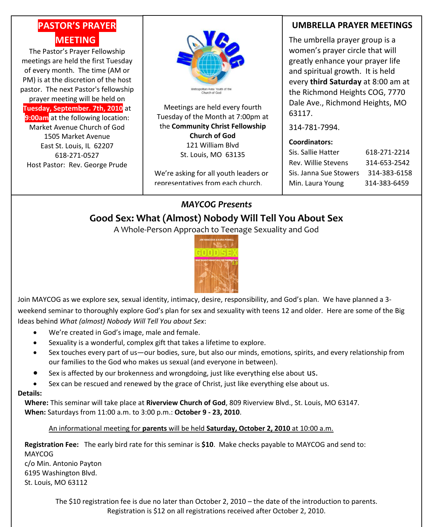# **PASTOR'S PRAYER MEETING.**

The Pastor's Prayer Fellowship meetings are held the first Tuesday of every month. The time (AM or PM) is at the discretion of the host pastor. The next Pastor's fellowship

prayer meeting will be held on **Tuesday, September. 7th, 2010** at

**9:00am** at the following location: Market Avenue Church of God 1505 Market Avenue East St. Louis, IL 62207 618-271-0527 Host Pastor: Rev. George Prude



Meetings are held every fourth Tuesday of the Month at 7:00pm at the **Community Christ Fellowship Church of God** 121 William Blvd St. Louis, MO 63135

We're asking for all youth leaders or representatives from each church.

### **UMBRELLA PRAYER MEETINGS**

The umbrella prayer group is a women's prayer circle that will greatly enhance your prayer life and spiritual growth. It is held every **third Saturday** at 8:00 am at the Richmond Heights COG, 7770 Dale Ave., Richmond Heights, MO 63117.

314-781-7994.

#### **Coordinators:**

| Sis. Sallie Hatter     | 618-271-2214 |
|------------------------|--------------|
| Rev. Willie Stevens    | 314-653-2542 |
| Sis. Janna Sue Stowers | 314-383-6158 |
| Min. Laura Young       | 314-383-6459 |

### *MAYCOG Presents*

### **Good Sex: What (Almost) Nobody Will Tell You About Sex**

A Whole-Person Approach to Teenage Sexuality and God



Join MAYCOG as we explore sex, sexual identity, intimacy, desire, responsibility, and God's plan. We have planned a 3 weekend seminar to thoroughly explore God's plan for sex and sexuality with teens 12 and older. Here are some of the Big Ideas behind *What (almost) Nobody Will Tell You about Sex*:

- We're created in God's image, male and female.
- Sexuality is a wonderful, complex gift that takes a lifetime to explore.
- Sex touches every part of us—our bodies, sure, but also our minds, emotions, spirits, and every relationship from our families to the God who makes us sexual (and everyone in between).
- Sex is affected by our brokenness and wrongdoing, just like everything else about us.
- Sex can be rescued and renewed by the grace of Christ, just like everything else about us.

#### **Details:**

**Where:** This seminar will take place at **Riverview Church of God**, 809 Riverview Blvd., St. Louis, MO 63147. **When:** Saturdays from 11:00 a.m. to 3:00 p.m.: **October 9 - 23, 2010**.

An informational meeting for **parents** will be held **Saturday, October 2, 2010** at 10:00 a.m.

**Registration Fee:** The early bird rate for this seminar is **\$10**. Make checks payable to MAYCOG and send to: MAYCOG c/o Min. Antonio Payton 6195 Washington Blvd. St. Louis, MO 63112

The \$10 registration fee is due no later than October 2, 2010 – the date of the introduction to parents. Registration is \$12 on all registrations received after October 2, 2010.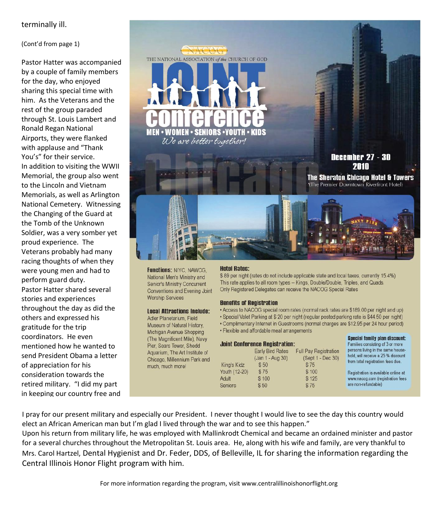#### terminally ill.

#### (Cont'd from page 1)

Pastor Hatter was accompanied by a couple of family members for the day, who enjoyed sharing this special time with him. As the Veterans and the rest of the group paraded through St. Louis Lambert and Ronald Regan National Airports, they were flanked with applause and "Thank You's" for their service. In addition to visiting the WWII Memorial, the group also went to the Lincoln and Vietnam Memorials, as well as Arlington National Cemetery. Witnessing the Changing of the Guard at the Tomb of the Unknown Soldier, was a very somber yet proud experience. The Veterans probably had many racing thoughts of when they were young men and had to perform guard duty. Pastor Hatter shared several stories and experiences throughout the day as did the others and expressed his gratitude for the trip coordinators. He even mentioned how he wanted to send President Obama a letter of appreciation for his consideration towards the retired military. "I did my part in keeping our country free and



**Functions: NIYC, NAWCG,** National Men's Ministry and Senior's Ministry Concurrent Conventions and Evening Joint **Worship Services** 

#### **Local Attractions Include:**

Adler Planetarium, Field Museum of Natural History, Michigan Avenue Shopping (The Magnificent Mile), Navy Pier, Sears Tower, Shedd Aquarium, The Art Institute of Chicago, Millennium Park and much, much more!

#### **Hotel Rates:**

\$89 per night (rates do not include applicable state and local taxes, currently 15.4%) This rate applies to all room types -- Kings, Double/Double, Triples, and Quads. Only Registered Delegates can receive the NACOG Special Rates

#### **Benefits of Registration**

• Access to NACOG special room rates (normal rack rates are \$189.00 per night and up)

. Special Valet Parking at \$20 per night (regular posted parking rate is \$44.50 per night)

Special family plan discount:

Esmiliae concicting of 3 or more

- Complimentary Internet in Guestrooms (normal charges are \$12.95 per 24 hour period)
- Flexible and affordable meal arrangements

#### **Joint Conference Registration:**

|               | <b>Early Bird Rates</b><br>(Jan 1 - Aug 30) | <b>Full Pay Registration</b><br>(Sept 1 - Dec 30) | persons living in the same house-<br>hold, will receive a 25 % discount |  |
|---------------|---------------------------------------------|---------------------------------------------------|-------------------------------------------------------------------------|--|
| King's Kidz   | \$50                                        | \$75                                              | from total registration fees due.                                       |  |
| Youth (12-20) | \$75                                        | \$100                                             | Registration is available online at                                     |  |
| Adult         | \$100                                       | \$125                                             | www.nacog.com (registration fees                                        |  |
| Seniors       | \$50                                        | \$75                                              | are non-refundable)                                                     |  |

I pray for our present military and especially our President. I never thought I would live to see the day this country would elect an African American man but I'm glad I lived through the war and to see this happen."

Upon his return from military life, he was employed with Mallinkrodt Chemical and became an ordained minister and pastor for a several churches throughout the Metropolitan St. Louis area. He, along with his wife and family, are very thankful to Mrs. Carol Hartzel, Dental Hygienist and Dr. Feder, DDS, of Belleville, IL for sharing the information regarding the Central Illinois Honor Flight program with him.